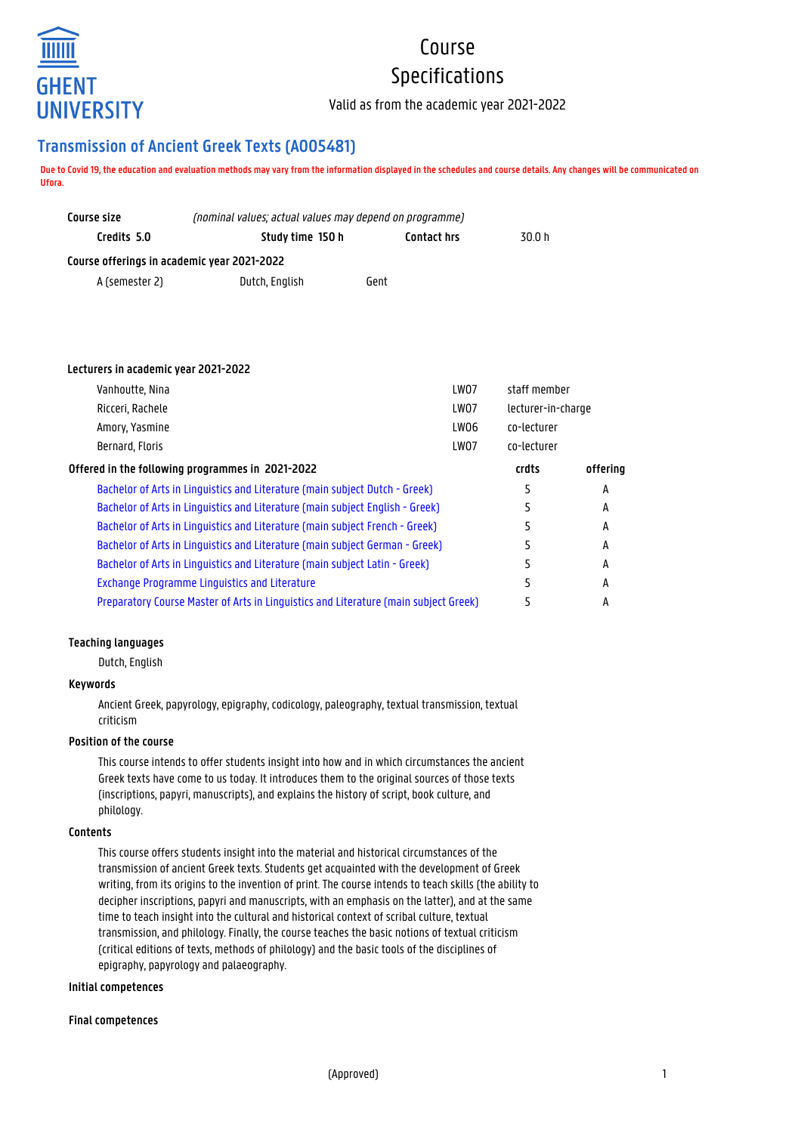

# Course Specifications

Valid as from the academic year 2021-2022

## **Transmission of Ancient Greek Texts (A005481)**

**Due to Covid 19, the education and evaluation methods may vary from the information displayed in the schedules and course details. Any changes will be communicated on Ufora.**

| Course size                                 | (nominal values; actual values may depend on programme) |                    |        |  |  |  |  |
|---------------------------------------------|---------------------------------------------------------|--------------------|--------|--|--|--|--|
| Credits 5.0                                 | Study time 150 h                                        | <b>Contact hrs</b> | 30.0 h |  |  |  |  |
| Course offerings in academic year 2021-2022 |                                                         |                    |        |  |  |  |  |
| A (semester 2)                              | Dutch, English                                          | Gent               |        |  |  |  |  |

### **Lecturers in academic year 2021-2022**

| Vanhoutte, Nina                                                                      | LW07 | staff member       |          |
|--------------------------------------------------------------------------------------|------|--------------------|----------|
| Ricceri, Rachele                                                                     | LW07 | lecturer-in-charge |          |
| Amory, Yasmine                                                                       | LW06 | co-lecturer        |          |
| Bernard, Floris                                                                      | LW07 | co-lecturer        |          |
| Offered in the following programmes in 2021-2022                                     |      | crdts              | offering |
| Bachelor of Arts in Linguistics and Literature (main subject Dutch - Greek)          |      | 5                  | A        |
| Bachelor of Arts in Linguistics and Literature (main subject English - Greek)        |      | 5                  | A        |
| Bachelor of Arts in Linguistics and Literature (main subject French - Greek)         |      | 5                  | A        |
| Bachelor of Arts in Linguistics and Literature (main subject German - Greek)         |      |                    | A        |
| Bachelor of Arts in Linguistics and Literature (main subject Latin - Greek)          |      |                    | A        |
| <b>Exchange Programme Linguistics and Literature</b>                                 |      |                    | A        |
| Preparatory Course Master of Arts in Linguistics and Literature (main subject Greek) |      |                    | А        |

### **Teaching languages**

Dutch, English

### **Keywords**

Ancient Greek, papyrology, epigraphy, codicology, paleography, textual transmission, textual criticism

### **Position of the course**

This course intends to offer students insight into how and in which circumstances the ancient Greek texts have come to us today. It introduces them to the original sources of those texts (inscriptions, papyri, manuscripts), and explains the history of script, book culture, and philology.

### **Contents**

This course offers students insight into the material and historical circumstances of the transmission of ancient Greek texts. Students get acquainted with the development of Greek writing, from its origins to the invention of print. The course intends to teach skills (the ability to decipher inscriptions, papyri and manuscripts, with an emphasis on the latter), and at the same time to teach insight into the cultural and historical context of scribal culture, textual transmission, and philology. Finally, the course teaches the basic notions of textual criticism (critical editions of texts, methods of philology) and the basic tools of the disciplines of epigraphy, papyrology and palaeography.

### **Initial competences**

### **Final competences**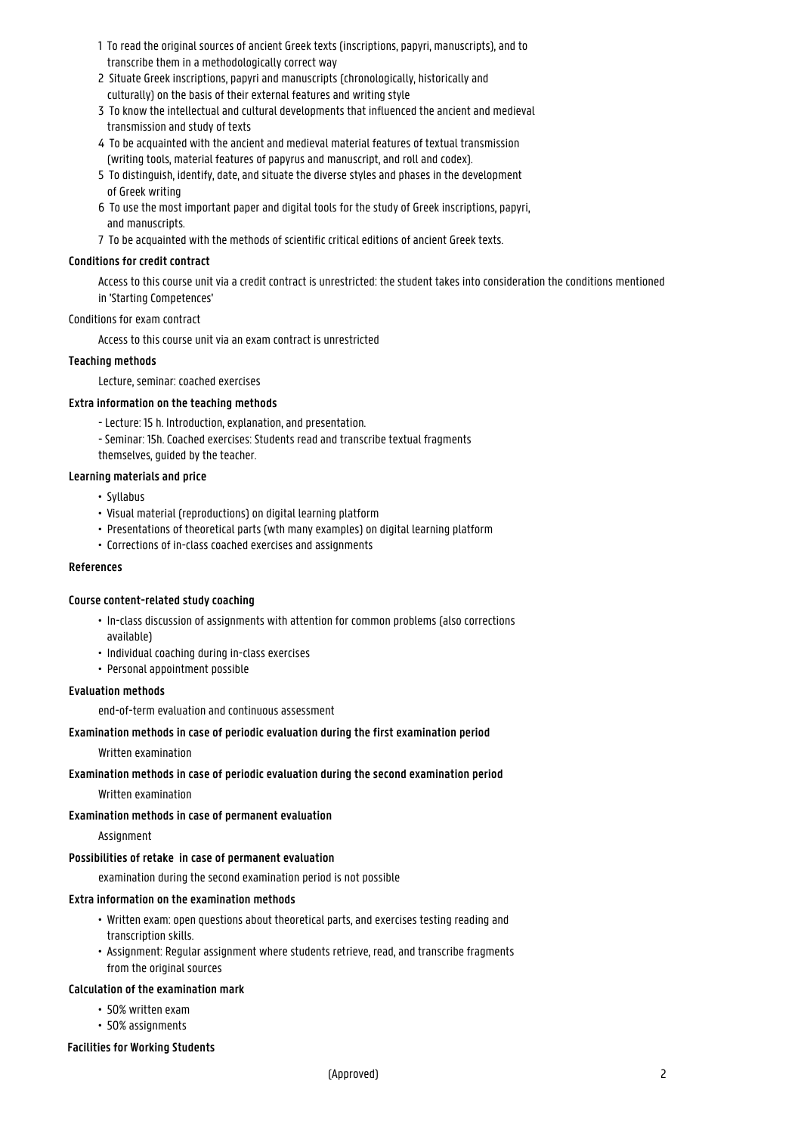- 1 To read the original sources of ancient Greek texts (inscriptions, papyri, manuscripts), and to transcribe them in a methodologically correct way
- 2 Situate Greek inscriptions, papyri and manuscripts (chronologically, historically and culturally) on the basis of their external features and writing style
- 3 To know the intellectual and cultural developments that influenced the ancient and medieval transmission and study of texts
- 4 To be acquainted with the ancient and medieval material features of textual transmission (writing tools, material features of papyrus and manuscript, and roll and codex).
- 5 To distinguish, identify, date, and situate the diverse styles and phases in the development of Greek writing
- 6 To use the most important paper and digital tools for the study of Greek inscriptions, papyri, and manuscripts.
- 7 To be acquainted with the methods of scientific critical editions of ancient Greek texts.

### **Conditions for credit contract**

Access to this course unit via a credit contract is unrestricted: the student takes into consideration the conditions mentioned in 'Starting Competences'

### Conditions for exam contract

Access to this course unit via an exam contract is unrestricted

### **Teaching methods**

Lecture, seminar: coached exercises

### **Extra information on the teaching methods**

- Lecture: 15 h. Introduction, explanation, and presentation.
- Seminar: 15h. Coached exercises: Students read and transcribe textual fragments themselves, guided by the teacher.

### **Learning materials and price**

- Syllabus
- Visual material (reproductions) on digital learning platform
- Presentations of theoretical parts (wth many examples) on digital learning platform
- Corrections of in-class coached exercises and assignments

### **References**

### **Course content-related study coaching**

- In-class discussion of assignments with attention for common problems (also corrections • available)
- Individual coaching during in-class exercises
- Personal appointment possible

### **Evaluation methods**

end-of-term evaluation and continuous assessment

### **Examination methods in case of periodic evaluation during the first examination period**

Written examination

### **Examination methods in case of periodic evaluation during the second examination period**

Written examination

### **Examination methods in case of permanent evaluation**

### **Assignment**

### **Possibilities of retake in case of permanent evaluation**

examination during the second examination period is not possible

### **Extra information on the examination methods**

- Written exam: open questions about theoretical parts, and exercises testing reading and • transcription skills.
- Assignment: Regular assignment where students retrieve, read, and transcribe fragments from the original sources

### **Calculation of the examination mark**

- 50% written exam
- 50% assignments

### **Facilities for Working Students**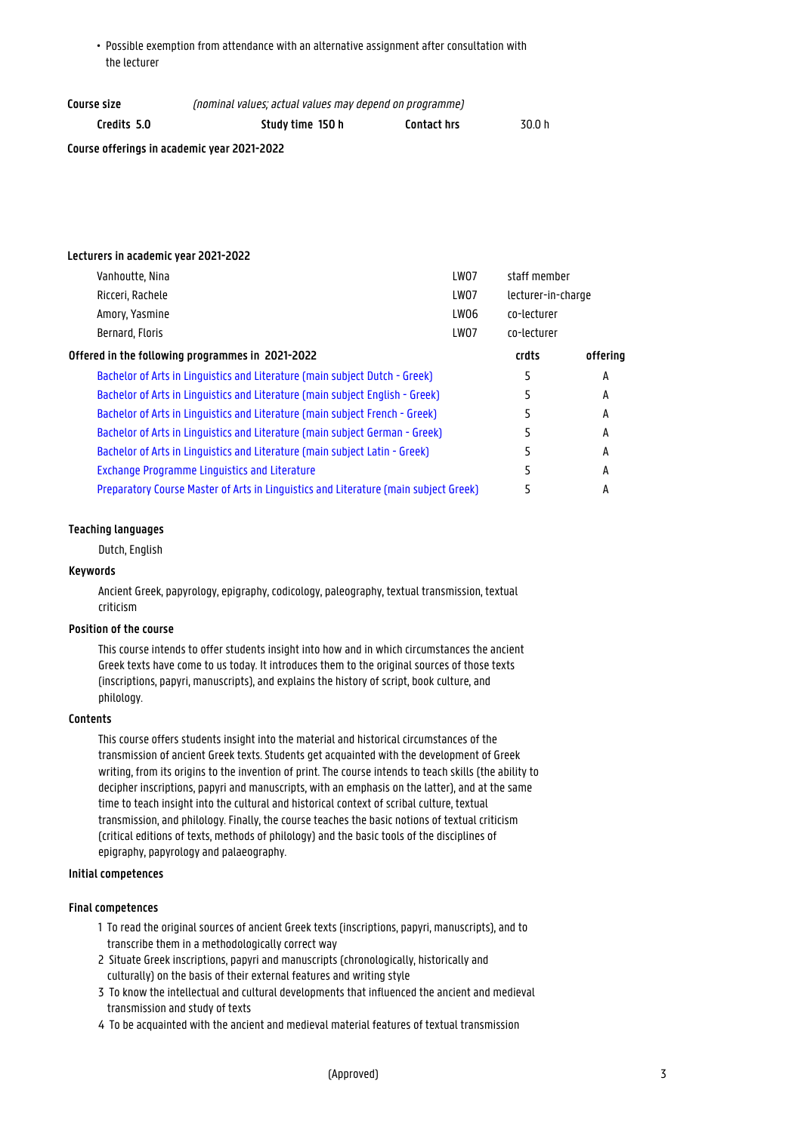• Possible exemption from attendance with an alternative assignment after consultation with the lecturer

| Course size                                 | (nominal values; actual values may depend on programme) |                    |        |  |
|---------------------------------------------|---------------------------------------------------------|--------------------|--------|--|
| Credits 5.0                                 | Study time 150 h                                        | <b>Contact hrs</b> | 30.0 h |  |
| Course offerings in academic year 2021-2022 |                                                         |                    |        |  |

### **Lecturers in academic year 2021-2022**

| Vanhoutte, Nina                                                                      | LW07 | staff member       |          |
|--------------------------------------------------------------------------------------|------|--------------------|----------|
| Ricceri, Rachele                                                                     | LW07 | lecturer-in-charge |          |
| Amory, Yasmine                                                                       | LW06 | co-lecturer        |          |
| Bernard, Floris                                                                      | LW07 | co-lecturer        |          |
| Offered in the following programmes in 2021-2022                                     |      | crdts              | offering |
| Bachelor of Arts in Linguistics and Literature (main subject Dutch - Greek)          |      | ב                  | А        |
| Bachelor of Arts in Linguistics and Literature (main subject English - Greek)        |      | 5                  | A        |
| Bachelor of Arts in Linguistics and Literature (main subject French - Greek)         |      |                    | A        |
| Bachelor of Arts in Linguistics and Literature (main subject German - Greek)         |      | 5                  | А        |
| Bachelor of Arts in Linguistics and Literature (main subject Latin - Greek)          |      | ּר                 | A        |
| <b>Exchange Programme Linguistics and Literature</b>                                 |      |                    | A        |
| Preparatory Course Master of Arts in Linguistics and Literature (main subject Greek) |      |                    | А        |

### **Teaching languages**

Dutch, English

### **Keywords**

Ancient Greek, papyrology, epigraphy, codicology, paleography, textual transmission, textual criticism

### **Position of the course**

This course intends to offer students insight into how and in which circumstances the ancient Greek texts have come to us today. It introduces them to the original sources of those texts (inscriptions, papyri, manuscripts), and explains the history of script, book culture, and philology.

### **Contents**

This course offers students insight into the material and historical circumstances of the transmission of ancient Greek texts. Students get acquainted with the development of Greek writing, from its origins to the invention of print. The course intends to teach skills (the ability to decipher inscriptions, papyri and manuscripts, with an emphasis on the latter), and at the same time to teach insight into the cultural and historical context of scribal culture, textual transmission, and philology. Finally, the course teaches the basic notions of textual criticism (critical editions of texts, methods of philology) and the basic tools of the disciplines of epigraphy, papyrology and palaeography.

### **Initial competences**

### **Final competences**

- 1 To read the original sources of ancient Greek texts (inscriptions, papyri, manuscripts), and to transcribe them in a methodologically correct way
- 2 Situate Greek inscriptions, papyri and manuscripts (chronologically, historically and culturally) on the basis of their external features and writing style
- 3 To know the intellectual and cultural developments that influenced the ancient and medieval transmission and study of texts
- 4 To be acquainted with the ancient and medieval material features of textual transmission